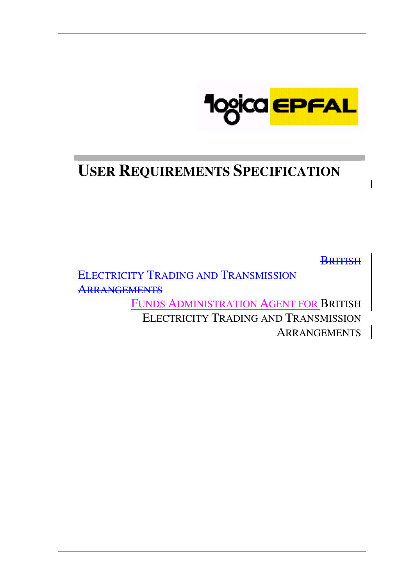

# **USER REQUIREMENTS SPECIFICATION**

**BRITISH** 

ELECTRICITY TRADING AND TRANSMISSION **ARRANGEMENTS** 

> FUNDS ADMINISTRATION AGENT FOR BRITISH ELECTRICITY TRADING AND TRANSMISSION **ARRANGEMENTS**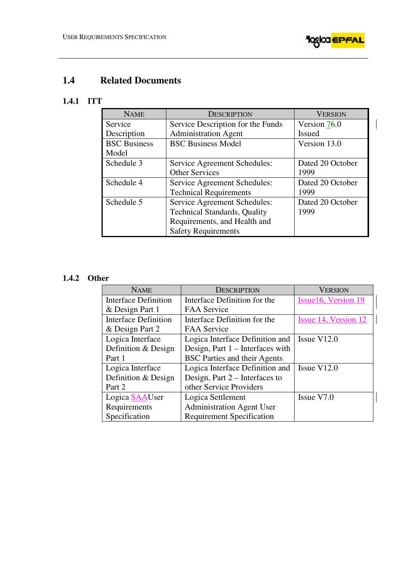

# **1.4 Related Documents**

# **1.4.1 ITT**

| <b>NAME</b>         | <b>DESCRIPTION</b>                  | <b>VERSION</b>   |  |
|---------------------|-------------------------------------|------------------|--|
| Service             | Service Description for the Funds   | Version $76.0$   |  |
| Description         | <b>Administration Agent</b>         | <b>Issued</b>    |  |
| <b>BSC Business</b> | <b>BSC Business Model</b>           | Version 13.0     |  |
| Model               |                                     |                  |  |
| Schedule 3          | Service Agreement Schedules:        | Dated 20 October |  |
|                     | <b>Other Services</b>               | 1999             |  |
| Schedule 4          | Service Agreement Schedules:        | Dated 20 October |  |
|                     | <b>Technical Requirements</b>       | 1999             |  |
| Schedule 5          | Service Agreement Schedules:        | Dated 20 October |  |
|                     | <b>Technical Standards, Quality</b> | 1999             |  |
|                     | Requirements, and Health and        |                  |  |
|                     | <b>Safety Requirements</b>          |                  |  |

# **1.4.2 Other**

| <b>NAME</b>                 | <b>DESCRIPTION</b>                  | <b>VERSION</b>       |  |
|-----------------------------|-------------------------------------|----------------------|--|
| <b>Interface Definition</b> | Interface Definition for the        | Issue16, Version 19  |  |
| & Design Part 1             | <b>FAA Service</b>                  |                      |  |
| <b>Interface Definition</b> | Interface Definition for the        | Issue 14, Version 12 |  |
| & Design Part 2             | <b>FAA Service</b>                  |                      |  |
| Logica Interface            | Logica Interface Definition and     | Issue $V12.0$        |  |
| Definition & Design         | Design, Part 1 – Interfaces with    |                      |  |
| Part 1                      | <b>BSC</b> Parties and their Agents |                      |  |
| Logica Interface            | Logica Interface Definition and     | Issue $V12.0$        |  |
| Definition & Design         | Design, Part $2$ – Interfaces to    |                      |  |
| Part 2                      | other Service Providers             |                      |  |
| Logica SAAUser              | Logica Settlement                   | Issue V7.0           |  |
| Requirements                | <b>Administration Agent User</b>    |                      |  |
| Specification               | <b>Requirement Specification</b>    |                      |  |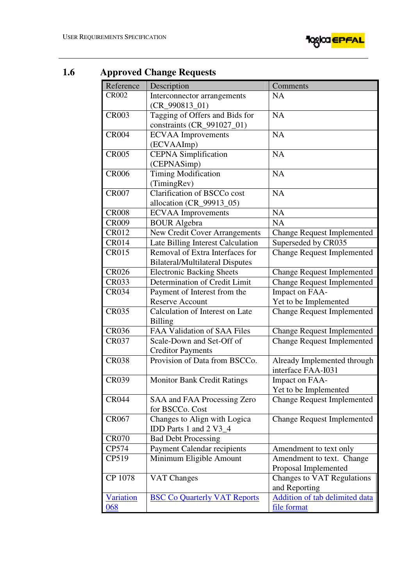

| 1.6 |              | <b>Approved Change Requests</b> |  |  |
|-----|--------------|---------------------------------|--|--|
|     | Reference    | Description                     |  |  |
|     | <b>CR002</b> | Interconnector arran            |  |  |
|     |              | $(CR_990813_01)$                |  |  |
|     | <b>CR003</b> | Tagging of Offers ar            |  |  |
|     |              | constraints (CR_991             |  |  |
|     | <b>CR004</b> | <b>ECVAA</b> Improveme          |  |  |
|     |              | (ECVAAImp)                      |  |  |
|     | <b>CR005</b> | <b>CEPNA</b> Simplificati       |  |  |
|     |              | (CEPNASimp)                     |  |  |
|     | <b>CR006</b> | <b>Timing Modification</b>      |  |  |
|     |              | (TimingRev)                     |  |  |
|     | <b>CR007</b> | <b>Clarification of BSC</b>     |  |  |
|     |              | allocation (CR_9991             |  |  |
|     | <b>CR008</b> | <b>ECVAA</b> Improveme          |  |  |
|     | <b>CR009</b> | <b>BOUR</b> Algebra             |  |  |
|     | <b>CR012</b> | New Credit Cover A              |  |  |
|     | <b>CR014</b> | Late Billing Interest           |  |  |
|     | <b>CR015</b> | Removal of Extra In             |  |  |
|     |              | Bilateral/Multilatera           |  |  |
|     | <b>CR026</b> | <b>Electronic Backing 9</b>     |  |  |
|     | <b>CR033</b> | Determination of Cr             |  |  |
|     | CRO34        | Payment of Interest:            |  |  |

| Reference        | Description                            | Comments                              |
|------------------|----------------------------------------|---------------------------------------|
| <b>CR002</b>     | Interconnector arrangements            | <b>NA</b>                             |
|                  | $(CR_990813_01)$                       |                                       |
| <b>CR003</b>     | Tagging of Offers and Bids for         | <b>NA</b>                             |
|                  | constraints (CR_991027_01)             |                                       |
| <b>CR004</b>     | <b>ECVAA</b> Improvements              | <b>NA</b>                             |
|                  | (ECVAAImp)                             |                                       |
| <b>CR005</b>     | <b>CEPNA</b> Simplification            | <b>NA</b>                             |
|                  | (CEPNASimp)                            |                                       |
| <b>CR006</b>     | <b>Timing Modification</b>             | <b>NA</b>                             |
|                  | (TimingRev)                            |                                       |
| <b>CR007</b>     | Clarification of BSCCo cost            | <b>NA</b>                             |
|                  | allocation (CR_99913_05)               |                                       |
| <b>CR008</b>     | <b>ECVAA</b> Improvements              | <b>NA</b>                             |
| <b>CR009</b>     | <b>BOUR Algebra</b>                    | <b>NA</b>                             |
| <b>CR012</b>     | New Credit Cover Arrangements          | <b>Change Request Implemented</b>     |
| <b>CR014</b>     | Late Billing Interest Calculation      | Superseded by CR035                   |
| <b>CR015</b>     | Removal of Extra Interfaces for        | <b>Change Request Implemented</b>     |
|                  | <b>Bilateral/Multilateral Disputes</b> |                                       |
| <b>CR026</b>     | <b>Electronic Backing Sheets</b>       | <b>Change Request Implemented</b>     |
| <b>CR033</b>     | Determination of Credit Limit          | <b>Change Request Implemented</b>     |
| <b>CR034</b>     | Payment of Interest from the           | Impact on FAA-                        |
|                  | <b>Reserve Account</b>                 | Yet to be Implemented                 |
| <b>CR035</b>     | Calculation of Interest on Late        | <b>Change Request Implemented</b>     |
|                  | <b>Billing</b>                         |                                       |
| <b>CR036</b>     | FAA Validation of SAA Files            | <b>Change Request Implemented</b>     |
| <b>CR037</b>     | Scale-Down and Set-Off of              | <b>Change Request Implemented</b>     |
|                  | <b>Creditor Payments</b>               |                                       |
| <b>CR038</b>     | Provision of Data from BSCCo.          | Already Implemented through           |
|                  |                                        | interface FAA-I031                    |
| <b>CR039</b>     | <b>Monitor Bank Credit Ratings</b>     | Impact on FAA-                        |
|                  |                                        | Yet to be Implemented                 |
| <b>CR044</b>     | SAA and FAA Processing Zero            | <b>Change Request Implemented</b>     |
|                  | for BSCCo. Cost                        |                                       |
| <b>CR067</b>     | Changes to Align with Logica           | <b>Change Request Implemented</b>     |
|                  | IDD Parts 1 and 2 V3_4                 |                                       |
| <b>CR070</b>     | <b>Bad Debt Processing</b>             |                                       |
| CP574            | <b>Payment Calendar recipients</b>     | Amendment to text only                |
| CP519            | Minimum Eligible Amount                | Amendment to text. Change             |
|                  |                                        | Proposal Implemented                  |
| CP 1078          | VAT Changes                            | Changes to VAT Regulations            |
|                  |                                        | and Reporting                         |
| <b>Variation</b> | <b>BSC Co Quarterly VAT Reports</b>    | <b>Addition of tab delimited data</b> |
| 068              |                                        | file format                           |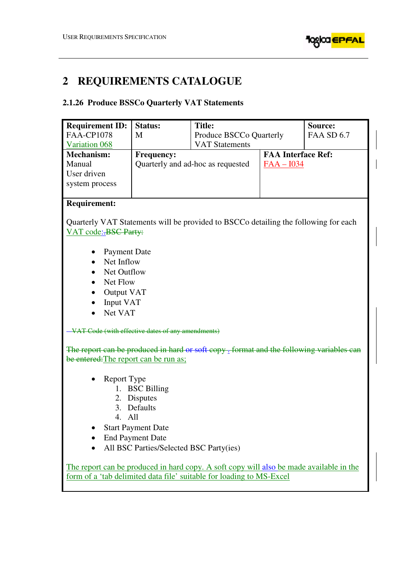

 $\overline{\phantom{a}}$ 

# **2 REQUIREMENTS CATALOGUE**

# **2.1.26 Produce BSSCo Quarterly VAT Statements**

| <b>FAA-CP1078</b><br><b>FAA SD 6.7</b><br>M<br>Produce BSCCo Quarterly<br><b>VAT Statements</b><br>Variation 068 |  |  |  |  |
|------------------------------------------------------------------------------------------------------------------|--|--|--|--|
|                                                                                                                  |  |  |  |  |
|                                                                                                                  |  |  |  |  |
| <b>FAA Interface Ref:</b><br><b>Mechanism:</b><br><b>Frequency:</b>                                              |  |  |  |  |
| Manual<br>Quarterly and ad-hoc as requested<br>$FAA - I034$                                                      |  |  |  |  |
| User driven                                                                                                      |  |  |  |  |
| system process                                                                                                   |  |  |  |  |
|                                                                                                                  |  |  |  |  |
| <b>Requirement:</b>                                                                                              |  |  |  |  |
| Quarterly VAT Statements will be provided to BSCCo detailing the following for each                              |  |  |  |  |
| VAT code: BSC Party:                                                                                             |  |  |  |  |
|                                                                                                                  |  |  |  |  |
| <b>Payment Date</b>                                                                                              |  |  |  |  |
| Net Inflow                                                                                                       |  |  |  |  |
| Net Outflow                                                                                                      |  |  |  |  |
| Net Flow                                                                                                         |  |  |  |  |
| Output VAT                                                                                                       |  |  |  |  |
| Input VAT                                                                                                        |  |  |  |  |
| Net VAT                                                                                                          |  |  |  |  |
|                                                                                                                  |  |  |  |  |
| VAT Code (with effective dates of any amendments)                                                                |  |  |  |  |
|                                                                                                                  |  |  |  |  |
| The report can be produced in hard or soft copy . format and the following variables can                         |  |  |  |  |
| be entered: The report can be run as;                                                                            |  |  |  |  |
|                                                                                                                  |  |  |  |  |
| Report Type                                                                                                      |  |  |  |  |
| 1. BSC Billing<br>2. Disputes                                                                                    |  |  |  |  |
| 3. Defaults                                                                                                      |  |  |  |  |
| 4. All                                                                                                           |  |  |  |  |
| <b>Start Payment Date</b>                                                                                        |  |  |  |  |
| <b>End Payment Date</b>                                                                                          |  |  |  |  |
| All BSC Parties/Selected BSC Party(ies)                                                                          |  |  |  |  |
|                                                                                                                  |  |  |  |  |
| The report can be produced in hard copy. A soft copy will also be made available in the                          |  |  |  |  |
| form of a 'tab delimited data file' suitable for loading to MS-Excel                                             |  |  |  |  |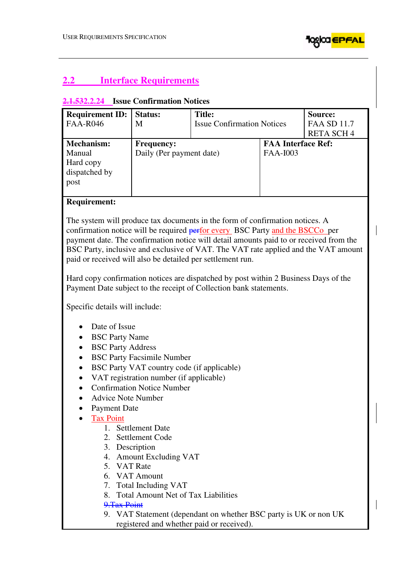

# **2.2 Interface Requirements**

## **2.1.532.2.24 Issue Confirmation Notices**

| <b>Requirement ID:</b><br><b>FAA-R046</b>                  | <b>Status:</b><br>M                           | <b>Title:</b><br><b>Issue Confirmation Notices</b> |                                       | Source:<br><b>FAA SD 11.7</b><br><b>RETA SCH4</b> |
|------------------------------------------------------------|-----------------------------------------------|----------------------------------------------------|---------------------------------------|---------------------------------------------------|
| Mechanism:<br>Manual<br>Hard copy<br>dispatched by<br>post | <b>Frequency:</b><br>Daily (Per payment date) |                                                    | <b>FAA Interface Ref:</b><br>FAA-I003 |                                                   |

### **Requirement:**

The system will produce tax documents in the form of confirmation notices. A confirmation notice will be required **perfor every** BSC Party and the BSCCo per payment date. The confirmation notice will detail amounts paid to or received from the BSC Party, inclusive and exclusive of VAT. The VAT rate applied and the VAT amount paid or received will also be detailed per settlement run.

Hard copy confirmation notices are dispatched by post within 2 Business Days of the Payment Date subject to the receipt of Collection bank statements.

Specific details will include:

- Date of Issue
- BSC Party Name
- BSC Party Address
- BSC Party Facsimile Number
- BSC Party VAT country code (if applicable)
- VAT registration number (if applicable)
- Confirmation Notice Number
- Advice Note Number
- Payment Date
- **Tax Point** 
	- 1. Settlement Date
	- 2. Settlement Code
	- 3. Description
	- 4. Amount Excluding VAT
	- 5. VAT Rate
	- 6. VAT Amount
	- 7. Total Including VAT
	- 8. Total Amount Net of Tax Liabilities

#### 9.Tax Point

9. VAT Statement (dependant on whether BSC party is UK or non UK registered and whether paid or received).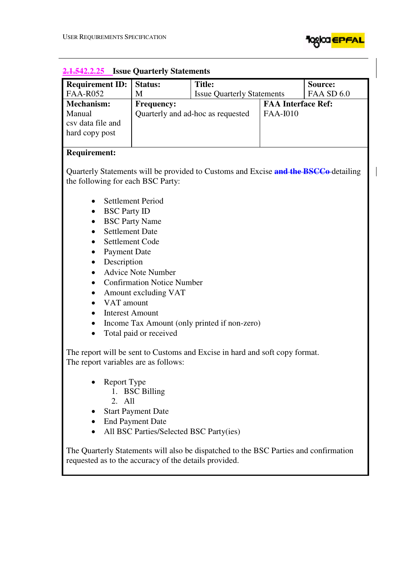

 $\begin{array}{c} \hline \end{array}$ 

H

| <b>542.2.25</b> Issue Quarterly Statements                                                                                                    |                                         |                                                                                     |                           |                   |
|-----------------------------------------------------------------------------------------------------------------------------------------------|-----------------------------------------|-------------------------------------------------------------------------------------|---------------------------|-------------------|
| <b>Requirement ID:</b>                                                                                                                        | <b>Status:</b>                          | <b>Title:</b>                                                                       |                           | Source:           |
| <b>FAA-R052</b>                                                                                                                               | M                                       | <b>Issue Quarterly Statements</b>                                                   |                           | <b>FAA SD 6.0</b> |
| Mechanism:                                                                                                                                    | <b>Frequency:</b>                       |                                                                                     | <b>FAA Interface Ref:</b> |                   |
| Manual                                                                                                                                        | Quarterly and ad-hoc as requested       |                                                                                     | <b>FAA-I010</b>           |                   |
| csv data file and                                                                                                                             |                                         |                                                                                     |                           |                   |
| hard copy post                                                                                                                                |                                         |                                                                                     |                           |                   |
|                                                                                                                                               |                                         |                                                                                     |                           |                   |
| <b>Requirement:</b>                                                                                                                           |                                         |                                                                                     |                           |                   |
| the following for each BSC Party:                                                                                                             |                                         | Quarterly Statements will be provided to Customs and Excise and the BSCCo-detailing |                           |                   |
|                                                                                                                                               |                                         |                                                                                     |                           |                   |
| ٠                                                                                                                                             | <b>Settlement Period</b>                |                                                                                     |                           |                   |
| <b>BSC Party ID</b><br>٠                                                                                                                      |                                         |                                                                                     |                           |                   |
| $\bullet$                                                                                                                                     | <b>BSC Party Name</b>                   |                                                                                     |                           |                   |
| <b>Settlement Date</b><br>$\bullet$                                                                                                           |                                         |                                                                                     |                           |                   |
| Settlement Code<br>$\bullet$                                                                                                                  |                                         |                                                                                     |                           |                   |
| <b>Payment Date</b><br>$\bullet$                                                                                                              |                                         |                                                                                     |                           |                   |
| Description<br>$\bullet$                                                                                                                      |                                         |                                                                                     |                           |                   |
| $\bullet$                                                                                                                                     | <b>Advice Note Number</b>               |                                                                                     |                           |                   |
|                                                                                                                                               | <b>Confirmation Notice Number</b>       |                                                                                     |                           |                   |
| $\bullet$                                                                                                                                     | Amount excluding VAT                    |                                                                                     |                           |                   |
| VAT amount<br>$\bullet$                                                                                                                       |                                         |                                                                                     |                           |                   |
| <b>Interest Amount</b><br>$\bullet$                                                                                                           |                                         |                                                                                     |                           |                   |
| $\bullet$                                                                                                                                     |                                         | Income Tax Amount (only printed if non-zero)                                        |                           |                   |
| Total paid or received<br>$\bullet$                                                                                                           |                                         |                                                                                     |                           |                   |
| The report will be sent to Customs and Excise in hard and soft copy format.<br>The report variables are as follows:                           |                                         |                                                                                     |                           |                   |
| <b>Report Type</b><br>1.<br>All<br>2.                                                                                                         | <b>BSC</b> Billing                      |                                                                                     |                           |                   |
|                                                                                                                                               | <b>Start Payment Date</b>               |                                                                                     |                           |                   |
|                                                                                                                                               | <b>End Payment Date</b>                 |                                                                                     |                           |                   |
|                                                                                                                                               | All BSC Parties/Selected BSC Party(ies) |                                                                                     |                           |                   |
| The Quarterly Statements will also be dispatched to the BSC Parties and confirmation<br>requested as to the accuracy of the details provided. |                                         |                                                                                     |                           |                   |

#### **2.1.542.2.25 Issue Quarterly Statements**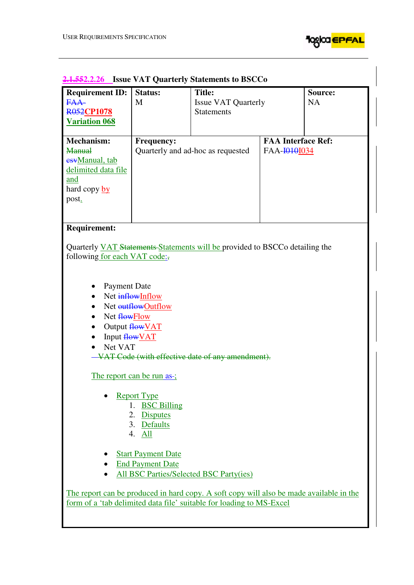

| <b>Requirement ID:</b><br>FAA-<br><b>R052CP1078</b><br><b>Variation 068</b> | Status:<br>M                      | <b>Title:</b><br><b>Issue VAT Quarterly</b><br><b>Statements</b> |                           | Source:<br><b>NA</b> |
|-----------------------------------------------------------------------------|-----------------------------------|------------------------------------------------------------------|---------------------------|----------------------|
| <b>Mechanism:</b>                                                           | <b>Frequency:</b>                 |                                                                  | <b>FAA Interface Ref:</b> |                      |
| Manual                                                                      | Quarterly and ad-hoc as requested |                                                                  | FAA-H0101034              |                      |
| esyManual, tab                                                              |                                   |                                                                  |                           |                      |
| delimited data file                                                         |                                   |                                                                  |                           |                      |
| and                                                                         |                                   |                                                                  |                           |                      |
| hard copy by                                                                |                                   |                                                                  |                           |                      |
| post.                                                                       |                                   |                                                                  |                           |                      |
|                                                                             |                                   |                                                                  |                           |                      |
|                                                                             |                                   |                                                                  |                           |                      |

# **2.1.552.2.26 Issue VAT Quarterly Statements to BSCCo**

#### **Requirement:**

Quarterly VAT Statements Statements will be provided to BSCCo detailing the following for each VAT code:,

- Payment Date
- Net inflowInflow
- Net outflowOutflow
- Net flowFlow
- $\bullet$  Output  $\frac{\text{flow}}{\text{VAT}}$
- Input flowVAT
- Net VAT
- VAT Code (with effective date of any amendment).

The report can be run as-;

- Report Type
	- 1. BSC Billing
	- 2. Disputes
	- 3. Defaults
	- 4. All
- Start Payment Date
- End Payment Date
- All BSC Parties/Selected BSC Party(ies)

The report can be produced in hard copy. A soft copy will also be made available in the form of a 'tab delimited data file' suitable for loading to MS-Excel